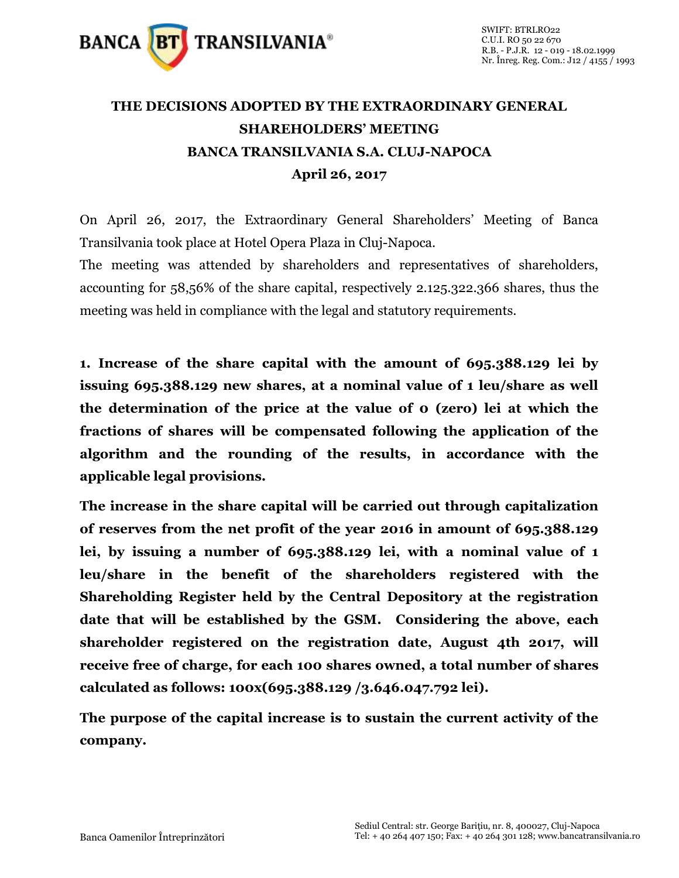

## **THE DECISIONS ADOPTED BY THE EXTRAORDINARY GENERAL SHAREHOLDERS' MEETING BANCA TRANSILVANIA S.A. CLUJ-NAPOCA April 26, 2017**

On April 26, 2017, the Extraordinary General Shareholders' Meeting of Banca Transilvania took place at Hotel Opera Plaza in Cluj-Napoca.

The meeting was attended by shareholders and representatives of shareholders, accounting for 58,56% of the share capital, respectively 2.125.322.366 shares, thus the meeting was held in compliance with the legal and statutory requirements.

**1. Increase of the share capital with the amount of 695.388.129 lei by issuing 695.388.129 new shares, at a nominal value of 1 leu/share as well the determination of the price at the value of 0 (zero) lei at which the fractions of shares will be compensated following the application of the algorithm and the rounding of the results, in accordance with the applicable legal provisions.** 

**The increase in the share capital will be carried out through capitalization of reserves from the net profit of the year 2016 in amount of 695.388.129 lei, by issuing a number of 695.388.129 lei, with a nominal value of 1 leu/share in the benefit of the shareholders registered with the Shareholding Register held by the Central Depository at the registration date that will be established by the GSM. Considering the above, each shareholder registered on the registration date, August 4th 2017, will receive free of charge, for each 100 shares owned, a total number of shares calculated as follows: 100x(695.388.129 /3.646.047.792 lei).**

**The purpose of the capital increase is to sustain the current activity of the company.**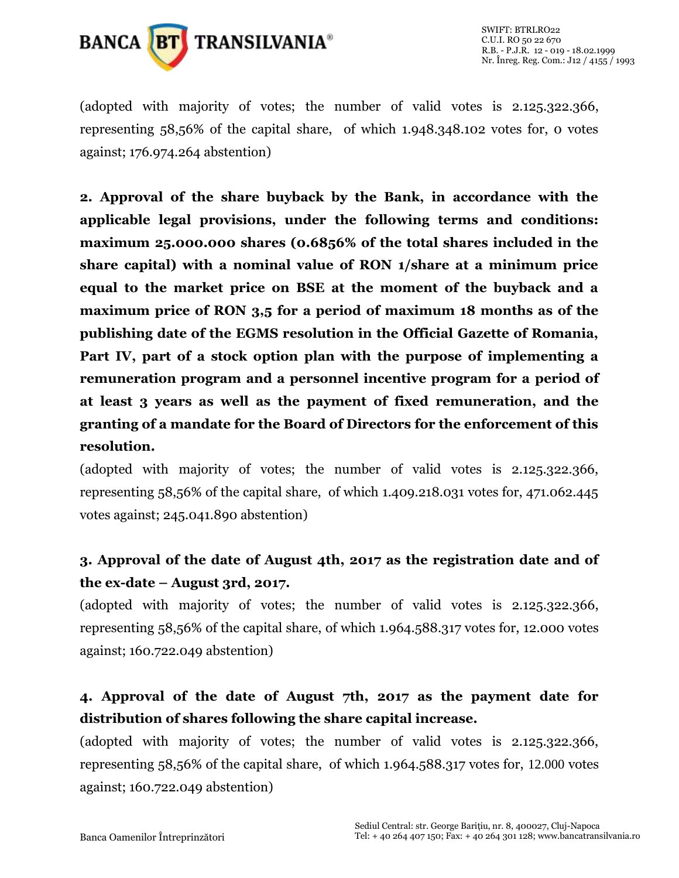

(adopted with majority of votes; the number of valid votes is 2.125.322.366, representing 58,56% of the capital share, of which 1.948.348.102 votes for, 0 votes against; 176.974.264 abstention)

**2. Approval of the share buyback by the Bank, in accordance with the applicable legal provisions, under the following terms and conditions: maximum 25.000.000 shares (0.6856% of the total shares included in the share capital) with a nominal value of RON 1/share at a minimum price equal to the market price on BSE at the moment of the buyback and a maximum price of RON 3,5 for a period of maximum 18 months as of the publishing date of the EGMS resolution in the Official Gazette of Romania, Part IV, part of a stock option plan with the purpose of implementing a remuneration program and a personnel incentive program for a period of at least 3 years as well as the payment of fixed remuneration, and the granting of a mandate for the Board of Directors for the enforcement of this resolution.**

(adopted with majority of votes; the number of valid votes is 2.125.322.366, representing 58,56% of the capital share, of which 1.409.218.031 votes for, 471.062.445 votes against; 245.041.890 abstention)

## **3. Approval of the date of August 4th, 2017 as the registration date and of the ex-date – August 3rd, 2017.**

(adopted with majority of votes; the number of valid votes is 2.125.322.366, representing 58,56% of the capital share, of which 1.964.588.317 votes for, 12.000 votes against; 160.722.049 abstention)

## **4. Approval of the date of August 7th, 2017 as the payment date for distribution of shares following the share capital increase.**

(adopted with majority of votes; the number of valid votes is 2.125.322.366, representing 58,56% of the capital share, of which 1.964.588.317 votes for, 12.000 votes against; 160.722.049 abstention)